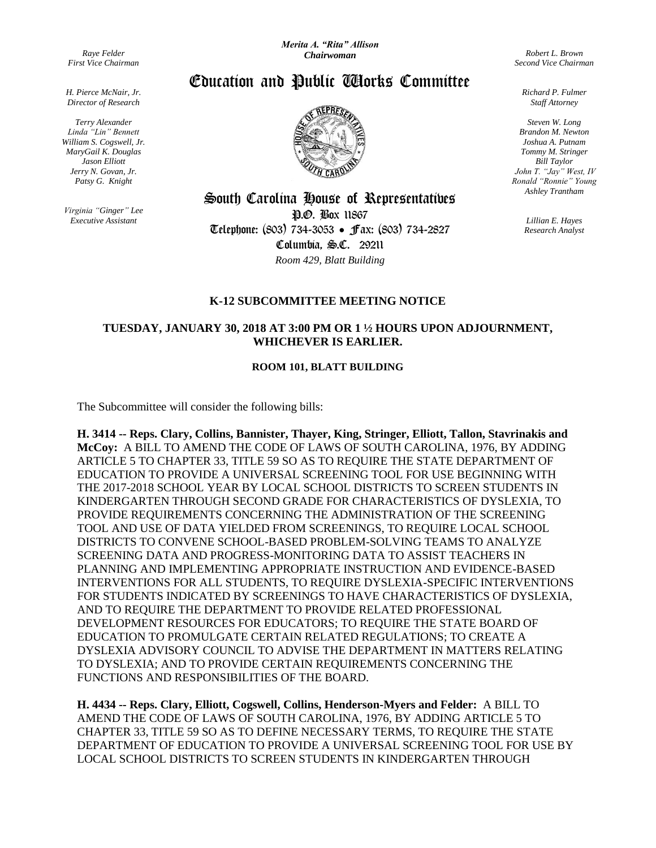*Raye Felder First Vice Chairman*

*H. Pierce McNair, Jr. Director of Research*

*Terry Alexander Linda "Lin" Bennett William S. Cogswell, Jr. MaryGail K. Douglas Jason Elliott Jerry N. Govan, Jr. Patsy G. Knight*

*Virginia "Ginger" Lee Executive Assistant*

*Robert L. Brown Second Vice Chairman*

Education and Public Works Committee



South Carolina House of Representatives

P.O. Box 11867 Telephone: (803) 734-3053 Fax: (803) 734-2827 Columbia, S.C. 29211 *Room 429, Blatt Building*

**K-12 SUBCOMMITTEE MEETING NOTICE**

## **TUESDAY, JANUARY 30, 2018 AT 3:00 PM OR 1 ½ HOURS UPON ADJOURNMENT, WHICHEVER IS EARLIER.**

## **ROOM 101, BLATT BUILDING**

The Subcommittee will consider the following bills:

**H. 3414 -- Reps. Clary, Collins, Bannister, Thayer, King, Stringer, Elliott, Tallon, Stavrinakis and McCoy:** A BILL TO AMEND THE CODE OF LAWS OF SOUTH CAROLINA, 1976, BY ADDING ARTICLE 5 TO CHAPTER 33, TITLE 59 SO AS TO REQUIRE THE STATE DEPARTMENT OF EDUCATION TO PROVIDE A UNIVERSAL SCREENING TOOL FOR USE BEGINNING WITH THE 2017-2018 SCHOOL YEAR BY LOCAL SCHOOL DISTRICTS TO SCREEN STUDENTS IN KINDERGARTEN THROUGH SECOND GRADE FOR CHARACTERISTICS OF DYSLEXIA, TO PROVIDE REQUIREMENTS CONCERNING THE ADMINISTRATION OF THE SCREENING TOOL AND USE OF DATA YIELDED FROM SCREENINGS, TO REQUIRE LOCAL SCHOOL DISTRICTS TO CONVENE SCHOOL-BASED PROBLEM-SOLVING TEAMS TO ANALYZE SCREENING DATA AND PROGRESS-MONITORING DATA TO ASSIST TEACHERS IN PLANNING AND IMPLEMENTING APPROPRIATE INSTRUCTION AND EVIDENCE-BASED INTERVENTIONS FOR ALL STUDENTS, TO REQUIRE DYSLEXIA-SPECIFIC INTERVENTIONS FOR STUDENTS INDICATED BY SCREENINGS TO HAVE CHARACTERISTICS OF DYSLEXIA, AND TO REQUIRE THE DEPARTMENT TO PROVIDE RELATED PROFESSIONAL DEVELOPMENT RESOURCES FOR EDUCATORS; TO REQUIRE THE STATE BOARD OF EDUCATION TO PROMULGATE CERTAIN RELATED REGULATIONS; TO CREATE A DYSLEXIA ADVISORY COUNCIL TO ADVISE THE DEPARTMENT IN MATTERS RELATING TO DYSLEXIA; AND TO PROVIDE CERTAIN REQUIREMENTS CONCERNING THE FUNCTIONS AND RESPONSIBILITIES OF THE BOARD.

**H. 4434 -- Reps. Clary, Elliott, Cogswell, Collins, Henderson-Myers and Felder:** A BILL TO AMEND THE CODE OF LAWS OF SOUTH CAROLINA, 1976, BY ADDING ARTICLE 5 TO CHAPTER 33, TITLE 59 SO AS TO DEFINE NECESSARY TERMS, TO REQUIRE THE STATE DEPARTMENT OF EDUCATION TO PROVIDE A UNIVERSAL SCREENING TOOL FOR USE BY LOCAL SCHOOL DISTRICTS TO SCREEN STUDENTS IN KINDERGARTEN THROUGH

*Richard P. Fulmer Staff Attorney*

*Steven W. Long Brandon M. Newton Joshua A. Putnam Tommy M. Stringer Bill Taylor John T. "Jay" West, IV Ronald "Ronnie" Young Ashley Trantham*

> *Lillian E. Hayes Research Analyst*